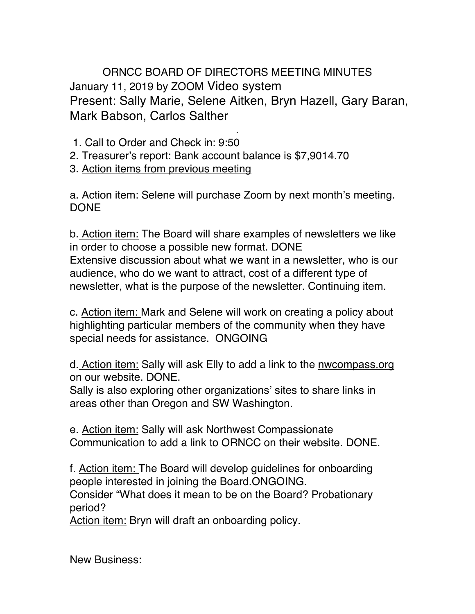ORNCC BOARD OF DIRECTORS MEETING MINUTES January 11, 2019 by ZOOM Video system Present: Sally Marie, Selene Aitken, Bryn Hazell, Gary Baran, Mark Babson, Carlos Salther

- . 1. Call to Order and Check in: 9:50
- 2. Treasurer's report: Bank account balance is \$7,9014.70
- 3. Action items from previous meeting

a. Action item: Selene will purchase Zoom by next month's meeting. DONE

b. Action item: The Board will share examples of newsletters we like in order to choose a possible new format. DONE Extensive discussion about what we want in a newsletter, who is our audience, who do we want to attract, cost of a different type of newsletter, what is the purpose of the newsletter. Continuing item.

c. Action item: Mark and Selene will work on creating a policy about highlighting particular members of the community when they have special needs for assistance. ONGOING

d. Action item: Sally will ask Elly to add a link to the nwcompass.org on our website. DONE.

Sally is also exploring other organizations' sites to share links in areas other than Oregon and SW Washington.

e. Action item: Sally will ask Northwest Compassionate Communication to add a link to ORNCC on their website. DONE.

f. Action item: The Board will develop guidelines for onboarding people interested in joining the Board.ONGOING.

Consider "What does it mean to be on the Board? Probationary period?

Action item: Bryn will draft an onboarding policy.

New Business: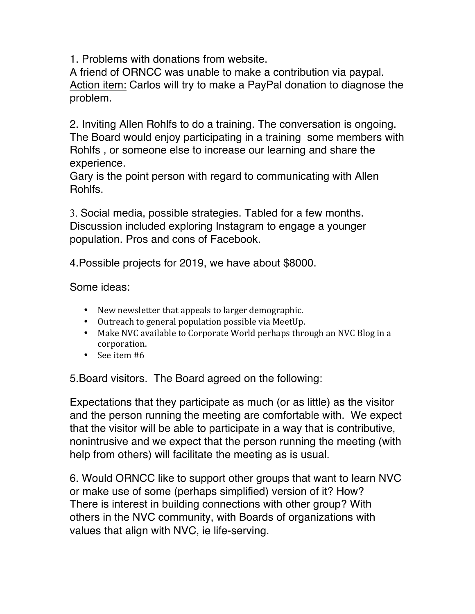1. Problems with donations from website.

A friend of ORNCC was unable to make a contribution via paypal. Action item: Carlos will try to make a PayPal donation to diagnose the problem.

2. Inviting Allen Rohlfs to do a training. The conversation is ongoing. The Board would enjoy participating in a training some members with Rohlfs , or someone else to increase our learning and share the experience.

Gary is the point person with regard to communicating with Allen Rohlfs.

3. Social media, possible strategies. Tabled for a few months. Discussion included exploring Instagram to engage a younger population. Pros and cons of Facebook.

4.Possible projects for 2019, we have about \$8000.

Some ideas:

- New newsletter that appeals to larger demographic.
- Outreach to general population possible via MeetUp.
- Make NVC available to Corporate World perhaps through an NVC Blog in a corporation.
- See item #6

5.Board visitors. The Board agreed on the following:

Expectations that they participate as much (or as little) as the visitor and the person running the meeting are comfortable with. We expect that the visitor will be able to participate in a way that is contributive, nonintrusive and we expect that the person running the meeting (with help from others) will facilitate the meeting as is usual.

6. Would ORNCC like to support other groups that want to learn NVC or make use of some (perhaps simplified) version of it? How? There is interest in building connections with other group? With others in the NVC community, with Boards of organizations with values that align with NVC, ie life-serving.